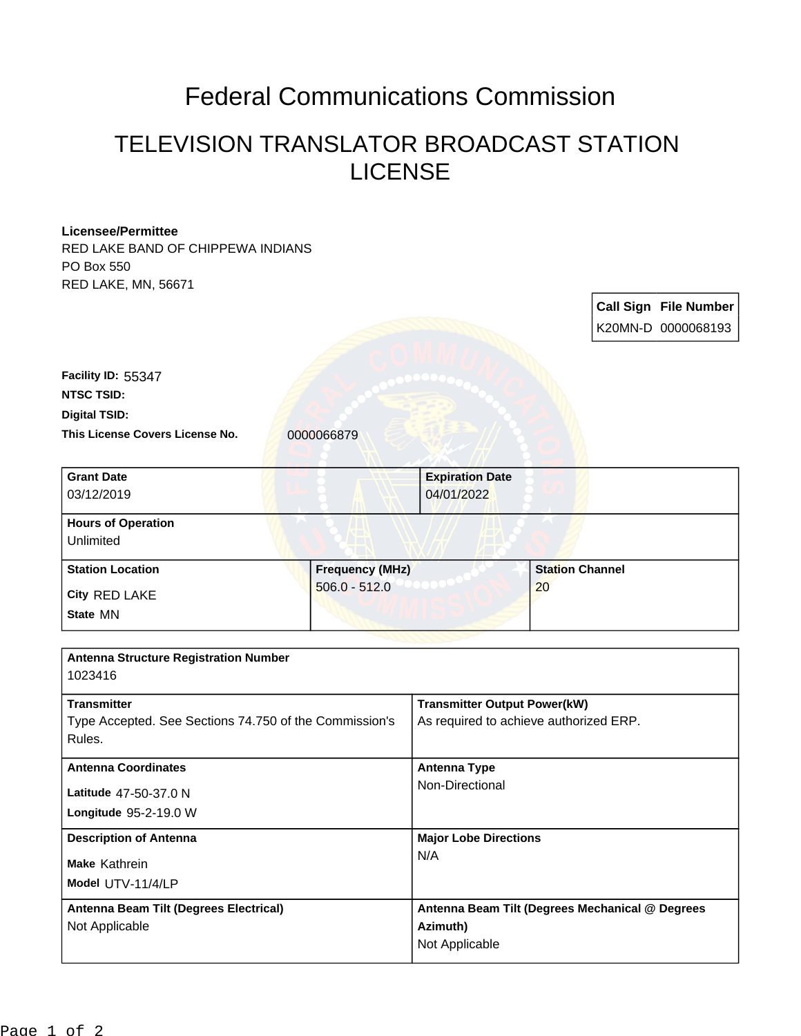## Federal Communications Commission

## TELEVISION TRANSLATOR BROADCAST STATION LICENSE

| <b>Licensee/Permittee</b><br>RED LAKE BAND OF CHIPPEWA INDIANS |                                           |                                                 |                              |  |                              |
|----------------------------------------------------------------|-------------------------------------------|-------------------------------------------------|------------------------------|--|------------------------------|
| PO Box 550                                                     |                                           |                                                 |                              |  |                              |
| RED LAKE, MN, 56671                                            |                                           |                                                 |                              |  |                              |
|                                                                |                                           |                                                 |                              |  | <b>Call Sign File Number</b> |
|                                                                |                                           |                                                 |                              |  |                              |
|                                                                |                                           |                                                 |                              |  | K20MN-D 0000068193           |
|                                                                |                                           |                                                 |                              |  |                              |
| Facility ID: 55347                                             |                                           |                                                 |                              |  |                              |
| <b>NTSC TSID:</b>                                              |                                           |                                                 |                              |  |                              |
| <b>Digital TSID:</b>                                           |                                           |                                                 |                              |  |                              |
| This License Covers License No.                                | 0000066879                                |                                                 |                              |  |                              |
| <b>Grant Date</b>                                              |                                           | <b>Expiration Date</b>                          |                              |  |                              |
| 03/12/2019                                                     |                                           | 04/01/2022                                      |                              |  |                              |
| <b>Hours of Operation</b>                                      |                                           |                                                 |                              |  |                              |
| Unlimited                                                      |                                           |                                                 |                              |  |                              |
| <b>Station Location</b>                                        | <b>Frequency (MHz)</b><br>$506.0 - 512.0$ |                                                 | <b>Station Channel</b><br>20 |  |                              |
| City RED LAKE                                                  |                                           |                                                 |                              |  |                              |
| State MN                                                       |                                           |                                                 |                              |  |                              |
|                                                                |                                           |                                                 |                              |  |                              |
| <b>Antenna Structure Registration Number</b>                   |                                           |                                                 |                              |  |                              |
| 1023416                                                        |                                           |                                                 |                              |  |                              |
| <b>Transmitter</b>                                             |                                           | <b>Transmitter Output Power(kW)</b>             |                              |  |                              |
| Type Accepted. See Sections 74.750 of the Commission's         |                                           | As required to achieve authorized ERP.          |                              |  |                              |
| Rules.                                                         |                                           |                                                 |                              |  |                              |
| <b>Antenna Coordinates</b>                                     |                                           | <b>Antenna Type</b>                             |                              |  |                              |
| Latitude 47-50-37.0 N                                          |                                           | Non-Directional                                 |                              |  |                              |
| Longitude 95-2-19.0 W                                          |                                           |                                                 |                              |  |                              |
| <b>Description of Antenna</b>                                  |                                           | <b>Major Lobe Directions</b>                    |                              |  |                              |
| Make Kathrein                                                  |                                           | N/A                                             |                              |  |                              |
|                                                                |                                           |                                                 |                              |  |                              |
| Model UTV-11/4/LP                                              |                                           |                                                 |                              |  |                              |
| Antenna Beam Tilt (Degrees Electrical)<br>Not Applicable       |                                           | Antenna Beam Tilt (Degrees Mechanical @ Degrees |                              |  |                              |
|                                                                |                                           | Azimuth)<br>Not Applicable                      |                              |  |                              |